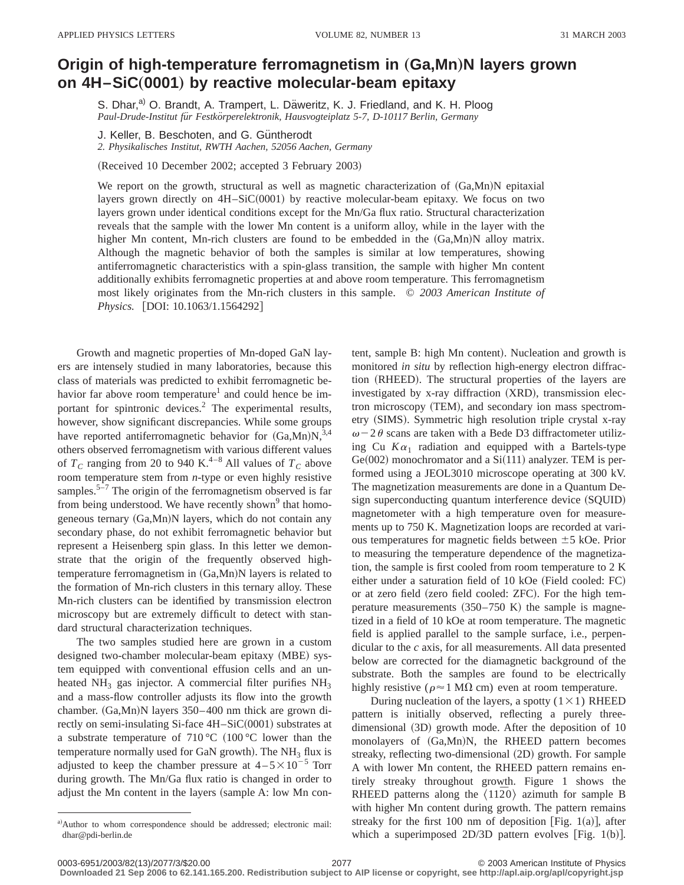## **Origin of high-temperature ferromagnetism in (Ga,Mn)N layers grown on 4H–SiC**"**0001**… **by reactive molecular-beam epitaxy**

S. Dhar,<sup>a)</sup> O. Brandt, A. Trampert, L. Däweritz, K. J. Friedland, and K. H. Ploog *Paul-Drude-Institut fu¨r Festko¨rperelektronik, Hausvogteiplatz 5-7, D-10117 Berlin, Germany*

J. Keller, B. Beschoten, and G. Güntherodt

*2. Physikalisches Institut, RWTH Aachen, 52056 Aachen, Germany*

(Received 10 December 2002; accepted 3 February 2003)

We report on the growth, structural as well as magnetic characterization of  $(Ga, Mn)N$  epitaxial layers grown directly on  $4H-SiC(0001)$  by reactive molecular-beam epitaxy. We focus on two layers grown under identical conditions except for the Mn/Ga flux ratio. Structural characterization reveals that the sample with the lower Mn content is a uniform alloy, while in the layer with the higher Mn content, Mn-rich clusters are found to be embedded in the  $(Ga, Mn)N$  alloy matrix. Although the magnetic behavior of both the samples is similar at low temperatures, showing antiferromagnetic characteristics with a spin-glass transition, the sample with higher Mn content additionally exhibits ferromagnetic properties at and above room temperature. This ferromagnetism most likely originates from the Mn-rich clusters in this sample. © *2003 American Institute of Physics.* [DOI: 10.1063/1.1564292]

Growth and magnetic properties of Mn-doped GaN layers are intensely studied in many laboratories, because this class of materials was predicted to exhibit ferromagnetic behavior far above room temperature<sup>1</sup> and could hence be important for spintronic devices.<sup>2</sup> The experimental results, however, show significant discrepancies. While some groups have reported antiferromagnetic behavior for  $(Ga, Mn)N,^{3,4}$ others observed ferromagnetism with various different values of  $T_c$  ranging from 20 to 940 K.<sup>4–8</sup> All values of  $T_c$  above room temperature stem from *n*-type or even highly resistive samples.<sup>5–7</sup> The origin of the ferromagnetism observed is far from being understood. We have recently shown $9$  that homogeneous ternary  $(Ga, Mn)N$  layers, which do not contain any secondary phase, do not exhibit ferromagnetic behavior but represent a Heisenberg spin glass. In this letter we demonstrate that the origin of the frequently observed hightemperature ferromagnetism in  $(Ga, Mn)N$  layers is related to the formation of Mn-rich clusters in this ternary alloy. These Mn-rich clusters can be identified by transmission electron microscopy but are extremely difficult to detect with standard structural characterization techniques.

The two samples studied here are grown in a custom designed two-chamber molecular-beam epitaxy (MBE) system equipped with conventional effusion cells and an unheated  $NH_3$  gas injector. A commercial filter purifies  $NH_3$ and a mass-flow controller adjusts its flow into the growth chamber.  $(Ga, Mn)$ N layers 350–400 nm thick are grown directly on semi-insulating Si-face 4H–SiC(0001) substrates at a substrate temperature of  $710 °C$  (100 °C lower than the temperature normally used for GaN growth). The  $NH<sub>3</sub>$  flux is adjusted to keep the chamber pressure at  $4-5\times10^{-5}$  Torr during growth. The Mn/Ga flux ratio is changed in order to adjust the Mn content in the layers (sample A: low Mn content, sample B: high Mn content). Nucleation and growth is monitored *in situ* by reflection high-energy electron diffraction (RHEED). The structural properties of the layers are investigated by x-ray diffraction (XRD), transmission electron microscopy (TEM), and secondary ion mass spectrometry (SIMS). Symmetric high resolution triple crystal x-ray  $\omega$  – 2 $\theta$  scans are taken with a Bede D3 diffractometer utilizing Cu  $K\alpha_1$  radiation and equipped with a Bartels-type  $Ge(002)$  monochromator and a  $Si(111)$  analyzer. TEM is performed using a JEOL3010 microscope operating at 300 kV. The magnetization measurements are done in a Quantum Design superconducting quantum interference device (SQUID) magnetometer with a high temperature oven for measurements up to 750 K. Magnetization loops are recorded at various temperatures for magnetic fields between  $\pm$  5 kOe. Prior to measuring the temperature dependence of the magnetization, the sample is first cooled from room temperature to 2 K either under a saturation field of  $10 kOe$  (Field cooled: FC) or at zero field (zero field cooled: ZFC). For the high temperature measurements  $(350–750 \text{ K})$  the sample is magnetized in a field of 10 kOe at room temperature. The magnetic field is applied parallel to the sample surface, i.e., perpendicular to the *c* axis, for all measurements. All data presented below are corrected for the diamagnetic background of the substrate. Both the samples are found to be electrically highly resistive ( $\rho \approx 1$  M $\Omega$  cm) even at room temperature.

During nucleation of the layers, a spotty  $(1 \times 1)$  RHEED pattern is initially observed, reflecting a purely threedimensional  $(3D)$  growth mode. After the deposition of 10 monolayers of (Ga,Mn)N, the RHEED pattern becomes streaky, reflecting two-dimensional  $(2D)$  growth. For sample A with lower Mn content, the RHEED pattern remains entirely streaky throughout growth. Figure 1 shows the RHEED patterns along the  $\langle 11\overline{2}0 \rangle$  azimuth for sample B with higher Mn content during growth. The pattern remains streaky for the first 100 nm of deposition [Fig. 1(a)], after which a superimposed  $2D/3D$  pattern evolves [Fig. 1(b)].

**Downloaded 21 Sep 2006 to 62.141.165.200. Redistribution subject to AIP license or copyright, see http://apl.aip.org/apl/copyright.jsp**

a)Author to whom correspondence should be addressed; electronic mail: dhar@pdi-berlin.de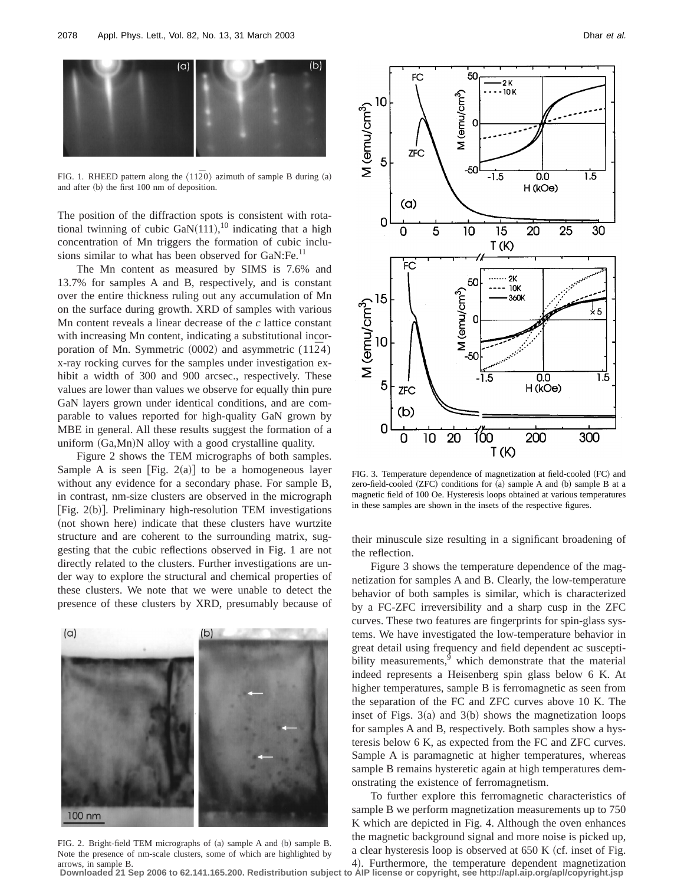

FIG. 1. RHEED pattern along the  $\langle 11\overline{2}0 \rangle$  azimuth of sample B during (a) and after (b) the first 100 nm of deposition.

The position of the diffraction spots is consistent with rotational twinning of cubic  $\text{GaN}(111),^{10}$  indicating that a high concentration of Mn triggers the formation of cubic inclusions similar to what has been observed for GaN:Fe.<sup>11</sup>

The Mn content as measured by SIMS is 7.6% and 13.7% for samples A and B, respectively, and is constant over the entire thickness ruling out any accumulation of Mn on the surface during growth. XRD of samples with various Mn content reveals a linear decrease of the *c* lattice constant with increasing Mn content, indicating a substitutional incorporation of Mn. Symmetric  $(0002)$  and asymmetric  $(11\overline{2}4)$ x-ray rocking curves for the samples under investigation exhibit a width of 300 and 900 arcsec., respectively. These values are lower than values we observe for equally thin pure GaN layers grown under identical conditions, and are comparable to values reported for high-quality GaN grown by MBE in general. All these results suggest the formation of a uniform  $(Ga, Mn)N$  alloy with a good crystalline quality.

Figure 2 shows the TEM micrographs of both samples. Sample A is seen [Fig. 2(a)] to be a homogeneous layer without any evidence for a secondary phase. For sample B, in contrast, nm-size clusters are observed in the micrograph [Fig.  $2(b)$ ]. Preliminary high-resolution TEM investigations (not shown here) indicate that these clusters have wurtzite structure and are coherent to the surrounding matrix, suggesting that the cubic reflections observed in Fig. 1 are not directly related to the clusters. Further investigations are under way to explore the structural and chemical properties of these clusters. We note that we were unable to detect the presence of these clusters by XRD, presumably because of



FIG. 2. Bright-field TEM micrographs of (a) sample A and (b) sample B. Note the presence of nm-scale clusters, some of which are highlighted by arrows, in sample B.



FIG. 3. Temperature dependence of magnetization at field-cooled (FC) and zero-field-cooled  $(ZFC)$  conditions for  $(a)$  sample A and  $(b)$  sample B at a magnetic field of 100 Oe. Hysteresis loops obtained at various temperatures in these samples are shown in the insets of the respective figures.

their minuscule size resulting in a significant broadening of the reflection.

Figure 3 shows the temperature dependence of the magnetization for samples A and B. Clearly, the low-temperature behavior of both samples is similar, which is characterized by a FC-ZFC irreversibility and a sharp cusp in the ZFC curves. These two features are fingerprints for spin-glass systems. We have investigated the low-temperature behavior in great detail using frequency and field dependent ac susceptibility measurements, $9$  which demonstrate that the material indeed represents a Heisenberg spin glass below 6 K. At higher temperatures, sample B is ferromagnetic as seen from the separation of the FC and ZFC curves above 10 K. The inset of Figs.  $3(a)$  and  $3(b)$  shows the magnetization loops for samples A and B, respectively. Both samples show a hysteresis below 6 K, as expected from the FC and ZFC curves. Sample A is paramagnetic at higher temperatures, whereas sample B remains hysteretic again at high temperatures demonstrating the existence of ferromagnetism.

To further explore this ferromagnetic characteristics of sample B we perform magnetization measurements up to 750 K which are depicted in Fig. 4. Although the oven enhances the magnetic background signal and more noise is picked up, a clear hysteresis loop is observed at  $650 K (cf.$  inset of Fig.

4). Furthermore, the temperature dependent magnetization **Downloaded 21 Sep 2006 to 62.141.165.200. Redistribution subject to AIP license or copyright, see http://apl.aip.org/apl/copyright.jsp**